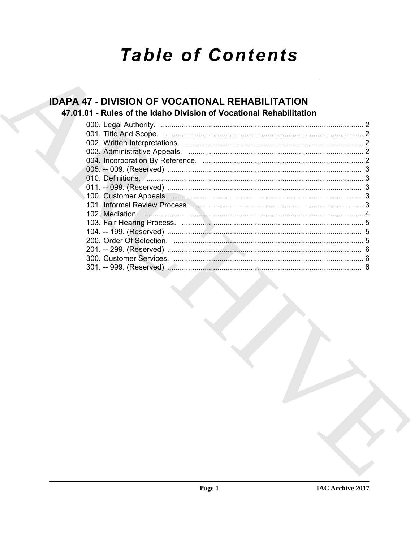# **Table of Contents**

### **IDAPA 47 - DIVISION OF VOCATIONAL REHABILITATION** 47.01.01 - Rules of the Idaho Division of Vocational Rehabilitation

| 6 |
|---|
|   |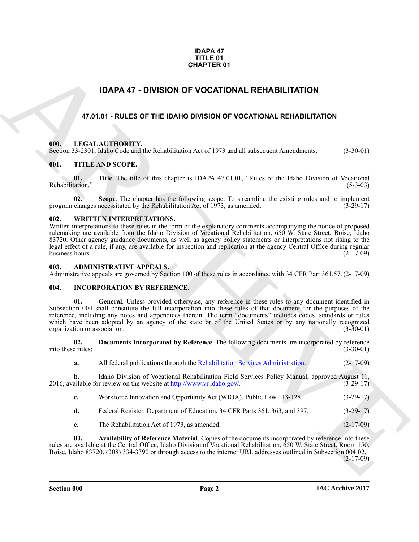### **IDAPA 47 TITLE 01 CHAPTER 01**

### **IDAPA 47 - DIVISION OF VOCATIONAL REHABILITATION**

### <span id="page-1-0"></span>**47.01.01 - RULES OF THE IDAHO DIVISION OF VOCATIONAL REHABILITATION**

### <span id="page-1-2"></span><span id="page-1-1"></span>**000. LEGAL AUTHORITY.**

Section 33-2301, Idaho Code and the Rehabilitation Act of 1973 and all subsequent Amendments. (3-30-01)

### <span id="page-1-3"></span>**001. TITLE AND SCOPE.**

**01.** Title. The title of this chapter is IDAPA 47.01.01, "Rules of the Idaho Division of Vocational (5-3-03) Rehabilitation."

**02. Scope**. The chapter has the following scope: To streamline the existing rules and to implement program changes necessitated by the Rehabilitation Act of 1973, as amended.  $(3-29-17)$ 

### <span id="page-1-4"></span>**002. WRITTEN INTERPRETATIONS.**

**CHAPTER 01**<br> **CHAPTER 01**<br> **CHAPTER CHAPTER CHAPTER CHAPTER SILTERTION**<br> **CHAPTER CHAPTER CHAPTER CHAPTER CHAPTER CHAPTER SILTERTION**<br> **CHAPTER CHAPTER CHAPTER SUBMISSION AT A CHAPTER CHAPTER CHAPTER CHAPTER CHAPTER CHAP** Written interpretations to these rules in the form of the explanatory comments accompanying the notice of proposed rulemaking are available from the Idaho Division of Vocational Rehabilitation, 650 W. State Street, Boise, Idaho 83720. Other agency guidance documents, as well as agency policy statements or interpretations not rising to the legal effect of a rule, if any, are available for inspection and replication at the agency Central Office during regular<br>(2-17-09) business hours.

### <span id="page-1-5"></span>**003. ADMINISTRATIVE APPEALS.**

Administrative appeals are governed by Section 100 of these rules in accordance with 34 CFR Part 361.57. (2-17-09)

### <span id="page-1-7"></span><span id="page-1-6"></span>**004. INCORPORATION BY REFERENCE.**

<span id="page-1-10"></span>**01. General**. Unless provided otherwise, any reference in these rules to any document identified in Subsection 004 shall constitute the full incorporation into these rules of that document for the purposes of the reference, including any notes and appendices therein. The term "documents" includes codes, standards or rules which have been adopted by an agency of the state or of the United States or by any nationally recognized organization or association. (3-30-01) organization or association.

**02. Documents Incorporated by Reference**. The following documents are incorporated by reference e rules: (3-30-01) into these rules:

<span id="page-1-9"></span>

| а. | All federal publications through the Rehabilitation Services Administration. | $(2-17-09)$ |  |
|----|------------------------------------------------------------------------------|-------------|--|
|----|------------------------------------------------------------------------------|-------------|--|

**b.** Idaho Division of Vocational Rehabilitation Field Services Policy Manual, approved August 11, ailable for review on the website at http://www.vr.idaho.gov/. (3-29-17) 2016, available for review on the website at http://www.vr.idaho.gov/.

|  | Workforce Innovation and Opportunity Act (WIOA), Public Law 113-128. | $(3-29-17)$ |
|--|----------------------------------------------------------------------|-------------|
|--|----------------------------------------------------------------------|-------------|

- **d.** Federal Register, Department of Education, 34 CFR Parts 361, 363, and 397. (3-29-17)
- <span id="page-1-8"></span>**e.** The Rehabilitation Act of 1973, as amended. (2-17-09)

**03. Availability of Reference Material**. Copies of the documents incorporated by reference into these rules are available at the Central Office, Idaho Division of Vocational Rehabilitation, 650 W. State Street, Room 150, Boise, Idaho 83720, (208) 334-3390 or through access to the internet URL addresses outlined in Subsection 004.02. (2-17-09)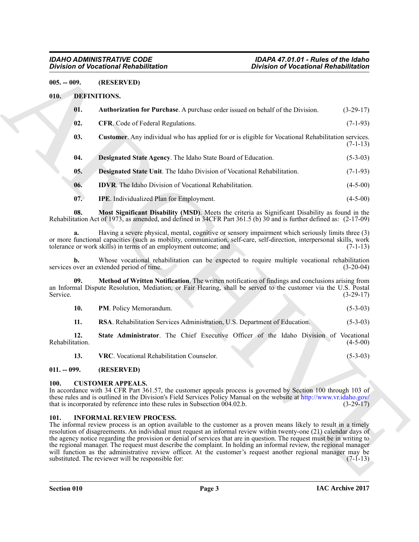### <span id="page-2-0"></span>**005. -- 009. (RESERVED)**

### <span id="page-2-13"></span><span id="page-2-12"></span><span id="page-2-11"></span><span id="page-2-10"></span><span id="page-2-9"></span><span id="page-2-8"></span><span id="page-2-7"></span><span id="page-2-6"></span><span id="page-2-1"></span>**010. DEFINITIONS.**

|                        | <b>Division of Vocational Rehabilitation</b>                                                                                                                                                                                                                                                                                                                                                                                                                                                                                                                                                                                                                                                       | <b>Division of Vocational Rehabilitation</b> |
|------------------------|----------------------------------------------------------------------------------------------------------------------------------------------------------------------------------------------------------------------------------------------------------------------------------------------------------------------------------------------------------------------------------------------------------------------------------------------------------------------------------------------------------------------------------------------------------------------------------------------------------------------------------------------------------------------------------------------------|----------------------------------------------|
| $005. - 009.$          | (RESERVED)                                                                                                                                                                                                                                                                                                                                                                                                                                                                                                                                                                                                                                                                                         |                                              |
| 010.                   | DEFINITIONS.                                                                                                                                                                                                                                                                                                                                                                                                                                                                                                                                                                                                                                                                                       |                                              |
| 01.                    | Authorization for Purchase. A purchase order issued on behalf of the Division.                                                                                                                                                                                                                                                                                                                                                                                                                                                                                                                                                                                                                     | $(3-29-17)$                                  |
| 02.                    | <b>CFR</b> . Code of Federal Regulations.                                                                                                                                                                                                                                                                                                                                                                                                                                                                                                                                                                                                                                                          | $(7-1-93)$                                   |
| 03.                    | Customer. Any individual who has applied for or is eligible for Vocational Rehabilitation services.                                                                                                                                                                                                                                                                                                                                                                                                                                                                                                                                                                                                | $(7-1-13)$                                   |
| 04.                    | Designated State Agency. The Idaho State Board of Education.                                                                                                                                                                                                                                                                                                                                                                                                                                                                                                                                                                                                                                       | $(5-3-03)$                                   |
| 05.                    | <b>Designated State Unit.</b> The Idaho Division of Vocational Rehabilitation.                                                                                                                                                                                                                                                                                                                                                                                                                                                                                                                                                                                                                     | $(7-1-93)$                                   |
| 06.                    | <b>IDVR</b> . The Idaho Division of Vocational Rehabilitation.                                                                                                                                                                                                                                                                                                                                                                                                                                                                                                                                                                                                                                     | $(4-5-00)$                                   |
| 07.                    | <b>IPE</b> . Individualized Plan for Employment.                                                                                                                                                                                                                                                                                                                                                                                                                                                                                                                                                                                                                                                   | $(4-5-00)$                                   |
| 08.                    | Most Significant Disability (MSD). Meets the criteria as Significant Disability as found in the<br>Rehabilitation Act of 1973, as amended, and defined in 34CFR Part 361.5 (b) 30 and is further defined as: (2-17-09)                                                                                                                                                                                                                                                                                                                                                                                                                                                                             |                                              |
| a.                     | Having a severe physical, mental, cognitive or sensory impairment which seriously limits three (3)<br>or more functional capacities (such as mobility, communication, self-care, self-direction, interpersonal skills, work<br>tolerance or work skills) in terms of an employment outcome; and                                                                                                                                                                                                                                                                                                                                                                                                    | $(7-1-13)$                                   |
| b.                     | Whose vocational rehabilitation can be expected to require multiple vocational rehabilitation<br>services over an extended period of time.                                                                                                                                                                                                                                                                                                                                                                                                                                                                                                                                                         | $(3-20-04)$                                  |
| 09.<br>Service.        | Method of Written Notification. The written notification of findings and conclusions arising from<br>an Informal Dispute Resolution, Mediation, or Fair Hearing, shall be served to the customer via the U.S. Postal                                                                                                                                                                                                                                                                                                                                                                                                                                                                               | $(3-29-17)$                                  |
| 10.                    | PM. Policy Memorandum.                                                                                                                                                                                                                                                                                                                                                                                                                                                                                                                                                                                                                                                                             | $(5-3-03)$                                   |
| 11.                    | RSA. Rehabilitation Services Administration, U.S. Department of Education.                                                                                                                                                                                                                                                                                                                                                                                                                                                                                                                                                                                                                         | $(5-3-03)$                                   |
| 12.<br>Rehabilitation. | State Administrator. The Chief Executive Officer of the Idaho Division of Vocational                                                                                                                                                                                                                                                                                                                                                                                                                                                                                                                                                                                                               | $(4-5-00)$                                   |
| 13.                    | VRC. Vocational Rehabilitation Counselor.                                                                                                                                                                                                                                                                                                                                                                                                                                                                                                                                                                                                                                                          | $(5-3-03)$                                   |
| $011. - 099.$          | (RESERVED)                                                                                                                                                                                                                                                                                                                                                                                                                                                                                                                                                                                                                                                                                         |                                              |
| 100.                   | <b>CUSTOMER APPEALS.</b><br>In accordance with 34 CFR Part 361.57, the customer appeals process is governed by Section 100 through 103 of<br>these rules and is outlined in the Division's Field Services Policy Manual on the website at http://www.vr.idaho.gov/<br>that is incorporated by reference into these rules in Subsection 004.02.b.                                                                                                                                                                                                                                                                                                                                                   | $(3-29-17)$                                  |
| 101.                   | <b>INFORMAL REVIEW PROCESS.</b><br>The informal review process is an option available to the customer as a proven means likely to result in a timely<br>resolution of disagreements. An individual must request an informal review within twenty-one (21) calendar days of<br>the agency notice regarding the provision or denial of services that are in question. The request must be in writing to<br>the regional manager. The request must describe the complaint. In holding an informal review, the regional manager<br>will function as the administrative review officer. At the customer's request another regional manager may be<br>substituted. The reviewer will be responsible for: | $(7-1-13)$                                   |
|                        |                                                                                                                                                                                                                                                                                                                                                                                                                                                                                                                                                                                                                                                                                                    |                                              |

<span id="page-2-19"></span><span id="page-2-18"></span><span id="page-2-17"></span><span id="page-2-16"></span><span id="page-2-15"></span><span id="page-2-14"></span>

| $(5-3-03)$<br><b>PM.</b> Policy Memorandum.<br><b>10.</b> |
|-----------------------------------------------------------|
|-----------------------------------------------------------|

### <span id="page-2-2"></span>**011. -- 099. (RESERVED)**

### <span id="page-2-5"></span><span id="page-2-3"></span>**100. CUSTOMER APPEALS.**

### <span id="page-2-20"></span><span id="page-2-4"></span>**101. INFORMAL REVIEW PROCESS.**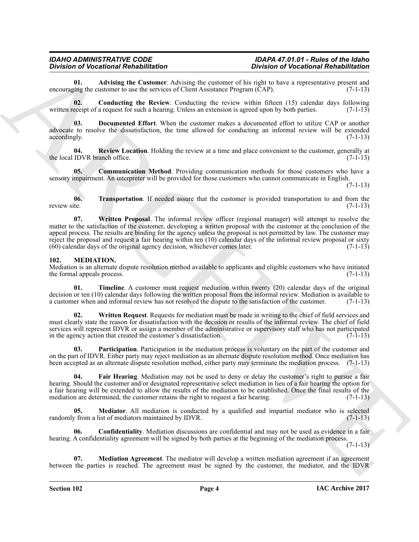## *IDAHO ADMINISTRATIVE CODE IDAPA 47.01.01 - Rules of the Idaho*

<span id="page-3-1"></span>**01. Advising the Customer**. Advising the customer of his right to have a representative present and ting the customer to use the services of Client Assistance Program (CAP). (7-1-13) encouraging the customer to use the services of Client Assistance Program  $\overline{(CAP)}$ .

<span id="page-3-3"></span>**02. Conducting the Review**. Conducting the review within fifteen (15) calendar days following written receipt of a request for such a hearing. Unless an extension is agreed upon by both parties. (7-1-13)

<span id="page-3-4"></span>**03. Documented Effort**. When the customer makes a documented effort to utilize CAP or another advocate to resolve the dissatisfaction, the time allowed for conducting an informal review will be extended accordingly. (7-1-13) accordingly. (7-1-13)

<span id="page-3-5"></span>**04.** Review Location. Holding the review at a time and place convenient to the customer, generally at IDVR branch office. (7-1-13) the local IDVR branch office.

<span id="page-3-2"></span>**05. Communication Method**. Providing communication methods for those customers who have a sensory impairment. An interpreter will be provided for those customers who cannot communicate in English.

(7-1-13)

<span id="page-3-7"></span><span id="page-3-6"></span>**06. Transportation**. If needed assure that the customer is provided transportation to and from the review site. (7-1-13)

Division of Weisthehalt<br>Society Constraint Resolution and the constraint Resolution of Weisthehalt<br>
constraint Resolution (Eq. 2) (See Fig. 2) (See Fig. 2) (See Fig. 2) (See Fig. 2) (See Fig. 2) (See Fig. 2) (See Fig. 2) **07. Written Proposal**. The informal review officer (regional manager) will attempt to resolve the matter to the satisfaction of the customer, developing a written proposal with the customer at the conclusion of the appeal process. The results are binding for the agency unless the proposal is not permitted by law. The customer may reject the proposal and request a fair hearing within ten (10) calendar days of the informal review proposal or sixty (60) calendar days of the original agency decision, whichever comes later. (7-1-13)

### <span id="page-3-8"></span><span id="page-3-0"></span>**102. MEDIATION.**

Mediation is an alternate dispute resolution method available to applicants and eligible customers who have initiated the formal appeals process. (7-1-13) the formal appeals process.

<span id="page-3-14"></span>**01. Timeline**. A customer must request mediation within twenty (20) calendar days of the original decision or ten (10) calendar days following the written proposal from the informal review. Mediation is available to a customer when and informal review has not resolved the dispute to the satisfaction of the customer. (7-1-13)

<span id="page-3-15"></span>**02. Written Request**. Requests for mediation must be made in writing to the chief of field services and must clearly state the reason for dissatisfaction with the decision or results of the informal review. The chief of field services will represent IDVR or assign a member of the administrative or supervisory staff who has not participated<br>in the agency action that created the customer's dissatisfaction. (7-1-13) in the agency action that created the customer's dissatisfaction.

<span id="page-3-13"></span>**03. Participation**. Participation in the mediation process is voluntary on the part of the customer and on the part of IDVR. Either party may reject mediation as an alternate dispute resolution method. Once mediation has been accepted as an alternate dispute resolution method, either party may terminate the mediation process. (7-1-13)

<span id="page-3-10"></span>**04. Fair Hearing**. Mediation may not be used to deny or delay the customer's right to pursue a fair hearing. Should the customer and/or designated representative select mediation in lieu of a fair hearing the option for a fair hearing will be extended to allow the results of the mediation to be established. Once the final results of the mediation are determined, the customer retains the right to request a fair hearing. (7-1-13) mediation are determined, the customer retains the right to request a fair hearing.

<span id="page-3-12"></span>**05. Mediator**. All mediation is conducted by a qualified and impartial mediator who is selected  $\gamma$  from a list of mediators maintained by IDVR. randomly from a list of mediators maintained by IDVR.

<span id="page-3-9"></span>**06. Confidentiality**. Mediation discussions are confidential and may not be used as evidence in a fair hearing. A confidentiality agreement will be signed by both parties at the beginning of the mediation process.

(7-1-13)

<span id="page-3-11"></span>**07. Mediation Agreement**. The mediator will develop a written mediation agreement if an agreement between the parties is reached. The agreement must be signed by the customer, the mediator, and the IDVR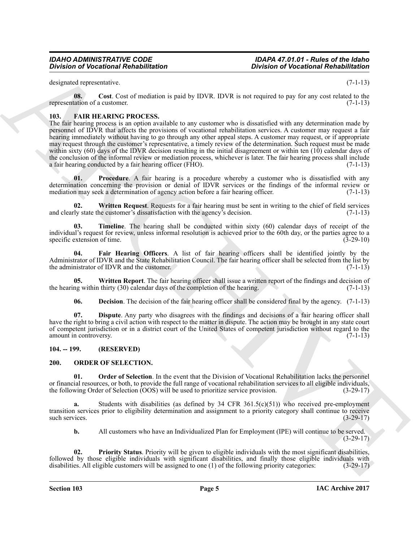designated representative. (7-1-13)

<span id="page-4-11"></span>**08. Cost**. Cost of mediation is paid by IDVR. IDVR is not required to pay for any cost related to the representation of a customer. (7-1-13)

### <span id="page-4-3"></span><span id="page-4-0"></span>**103. FAIR HEARING PROCESS.**

**Division of Victorions)** Redubitionton<br>
denoted responsible control in the state of the state of the state of the state of the state of the state of the state of the state of the state of the state of the state of the st The fair hearing process is an option available to any customer who is dissatisfied with any determination made by personnel of IDVR that affects the provisions of vocational rehabilitation services. A customer may request a fair hearing immediately without having to go through any other appeal steps. A customer may request, or if appropriate may request through the customer's representative, a timely review of the determination. Such request must be made within sixty (60) days of the IDVR decision resulting in the initial disagreement or within ten (10) calendar days of the conclusion of the informal review or mediation process, whichever is later. The fair hearing process shall include a fair hearing conducted by a fair hearing officer (FHO). a fair hearing conducted by a fair hearing officer (FHO).

<span id="page-4-7"></span>**01. Procedure**. A fair hearing is a procedure whereby a customer who is dissatisfied with any determination concerning the provision or denial of IDVR services or the findings of the informal review or mediation may seek a determination of agency action before a fair hearing officer. (7-1-13) mediation may seek a determination of agency action before a fair hearing officer.

<span id="page-4-10"></span>**Written Request**. Requests for a fair hearing must be sent in writing to the chief of field services is equested by the customer's dissatisfaction with the agency's decision. and clearly state the customer's dissatisfaction with the agency's decision.

<span id="page-4-8"></span>**03. Timeline**. The hearing shall be conducted within sixty (60) calendar days of receipt of the individual's request for review, unless informal resolution is achieved prior to the 60th day, or the parties agree to a specific extension of time.

<span id="page-4-6"></span>**04. Fair Hearing Officers**. A list of fair hearing officers shall be identified jointly by the Administrator of IDVR and the State Rehabilitation Council. The fair hearing officer shall be selected from the list by the administrator of IDVR and the customer. (7-1-13)

**05.** Written Report. The fair hearing officer shall issue a written report of the findings and decision of ng within thirty (30) calendar days of the completion of the hearing. (7-1-13) the hearing within thirty  $(30)$  calendar days of the completion of the hearing.

<span id="page-4-9"></span><span id="page-4-5"></span><span id="page-4-4"></span>**06. Decision**. The decision of the fair hearing officer shall be considered final by the agency. (7-1-13)

**07. Dispute**. Any party who disagrees with the findings and decisions of a fair hearing officer shall have the right to bring a civil action with respect to the matter in dispute. The action may be brought in any state court of competent jurisdiction or in a district court of the United States of competent jurisdiction without regard to the amount in controversy.

### <span id="page-4-1"></span>**104. -- 199. (RESERVED)**

### <span id="page-4-12"></span><span id="page-4-2"></span>**200. ORDER OF SELECTION.**

**01.** Order of Selection. In the event that the Division of Vocational Rehabilitation lacks the personnel or financial resources, or both, to provide the full range of vocational rehabilitation services to all eligible individuals, the following Order of Selection (OOS) will be used to prioritize service provision. (3-29-17) the following Order of Selection (OOS) will be used to prioritize service provision.

Students with disabilities (as defined by  $34$  CFR  $361.5(c)(51)$ ) who received pre-employment transition services prior to eligibility determination and assignment to a priority category shall continue to receive<br>(3-29-17) such services. (3-29-17)

<span id="page-4-13"></span>**b.** All customers who have an Individualized Plan for Employment (IPE) will continue to be served.  $(3-29-17)$ 

**02. Priority Status**. Priority will be given to eligible individuals with the most significant disabilities, followed by those eligible individuals with significant disabilities, and finally those eligible individuals with disabilities. All eligible customers will be assigned to one (1) of the following priority categories: (3-29 disabilities. All eligible customers will be assigned to one  $(1)$  of the following priority categories: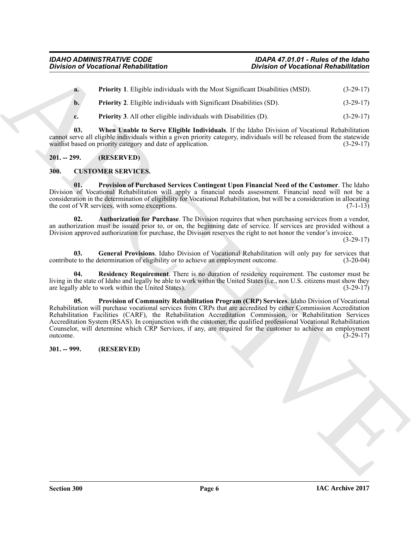<span id="page-5-9"></span>**a. Priority 1**. Eligible individuals with the Most Significant Disabilities (MSD). (3-29-17)

<span id="page-5-10"></span>**b. Priority 2**. Eligible individuals with Significant Disabilities (SD). (3-29-17)

<span id="page-5-12"></span><span id="page-5-11"></span>**c. Priority 3**. All other eligible individuals with Disabilities (D). (3-29-17)

**03. When Unable to Serve Eligible Individuals**. If the Idaho Division of Vocational Rehabilitation cannot serve all eligible individuals within a given priority category, individuals will be released from the statewide waitlist based on priority category and date of application. (3-29-17)

<span id="page-5-0"></span>**201. -- 299. (RESERVED)**

### <span id="page-5-3"></span><span id="page-5-1"></span>**300. CUSTOMER SERVICES.**

<span id="page-5-7"></span>**01. Provision of Purchased Services Contingent Upon Financial Need of the Customer**. The Idaho Division of Vocational Rehabilitation will apply a financial needs assessment. Financial need will not be a consideration in the determination of eligibility for Vocational Rehabilitation, but will be a consideration in allocating the cost of VR services, with some exceptions. (7-1-13)

<span id="page-5-4"></span>**02. Authorization for Purchase**. The Division requires that when purchasing services from a vendor, an authorization must be issued prior to, or on, the beginning date of service. If services are provided without a Division approved authorization for purchase, the Division reserves the right to not honor the vendor's invoice.

 $(3-29-17)$ 

<span id="page-5-5"></span>**03.** General Provisions. Idaho Division of Vocational Rehabilitation will only pay for services that e to the determination of eligibility or to achieve an employment outcome. (3-20-04) contribute to the determination of eligibility or to achieve an employment outcome.

<span id="page-5-8"></span><span id="page-5-6"></span>**04. Residency Requirement**. There is no duration of residency requirement. The customer must be living in the state of Idaho and legally be able to work within the United States (i.e., non U.S. citizens must show they are legally able to work within the United States). are legally able to work within the United States).

Division of Vicentian Reinhaltation<br>  $\mu$  Trivities and Administration of Vicentian (ER)<br>  $\mu$  Trivities Likelies and Administration (Since 2021).<br>  $\mu$  Trivities 12. Likelies and Administration Reinhaltation (Since 2021) **05. Provision of Community Rehabilitation Program (CRP) Services**. Idaho Division of Vocational Rehabilitation will purchase vocational services from CRPs that are accredited by either Commission Accreditation Rehabilitation Facilities (CARF), the Rehabilitation Accreditation Commission, or Rehabilitation Services Accreditation System (RSAS). In conjunction with the customer, the qualified professional Vocational Rehabilitation Counselor, will determine which CRP Services, if any, are required for the customer to achieve an employment  $\omega$ toutcome. (3-29-17)

### <span id="page-5-2"></span>**301. -- 999. (RESERVED)**